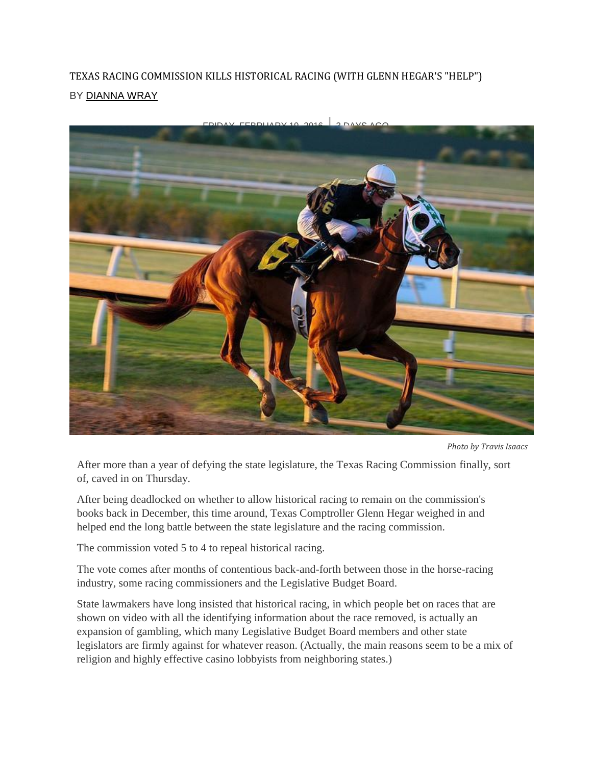## TEXAS RACING COMMISSION KILLS HISTORICAL RACING (WITH GLENN HEGAR'S "HELP") BY [DIANNA](http://www.houstonpress.com/authors/dianna-wray-6357483) WRAY



*Photo by Travis Isaacs*

After more than a year of defying the state legislature, the Texas Racing Commission finally, sort of, caved in on Thursday.

After being deadlocked on whether to allow historical racing to remain on the commission's books back in December, this time around, Texas Comptroller Glenn Hegar weighed in and helped end the long battle between the state legislature and the racing commission.

The commission voted 5 to 4 to repeal historical racing.

The vote comes after months of contentious back-and-forth between those in the horse-racing industry, some racing commissioners and the Legislative Budget Board.

State lawmakers have long insisted that historical racing, in which people bet on races that are shown on video with all the identifying information about the race removed, is actually an expansion of gambling, which many Legislative Budget Board members and other state legislators are firmly against for whatever reason. (Actually, the main reasons seem to be a mix of religion and highly effective casino lobbyists from neighboring states.)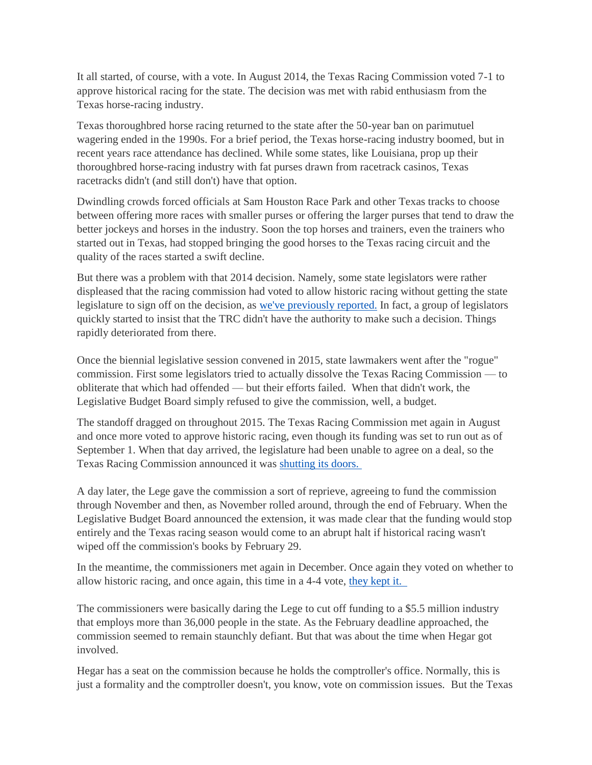It all started, of course, with a vote. In August 2014, the Texas Racing Commission voted 7-1 to approve historical racing for the state. The decision was met with rabid enthusiasm from the Texas horse-racing industry.

Texas thoroughbred horse racing returned to the state after the 50-year ban on parimutuel wagering ended in the 1990s. For a brief period, the Texas horse-racing industry boomed, but in recent years race attendance has declined. While some states, like Louisiana, prop up their thoroughbred horse-racing industry with fat purses drawn from racetrack casinos, Texas racetracks didn't (and still don't) have that option.

Dwindling crowds forced officials at Sam Houston Race Park and other Texas tracks to choose between offering more races with smaller purses or offering the larger purses that tend to draw the better jockeys and horses in the industry. Soon the top horses and trainers, even the trainers who started out in Texas, had stopped bringing the good horses to the Texas racing circuit and the quality of the races started a swift decline.

But there was a problem with that 2014 decision. Namely, some state legislators were rather displeased that the racing commission had voted to allow historic racing without getting the state legislature to sign off on the decision, as we've [previously](http://www.houstonpress.com/news/tough-times-for-the-texas-racing-commission-with-the-texas-legislature-7396081) reported. In fact, a group of legislators quickly started to insist that the TRC didn't have the authority to make such a decision. Things rapidly deteriorated from there.

Once the biennial legislative session convened in 2015, state lawmakers went after the "rogue" commission. First some legislators tried to actually dissolve the Texas Racing Commission — to obliterate that which had offended — but their efforts failed. When that didn't work, the Legislative Budget Board simply refused to give the commission, well, a budget.

The standoff dragged on throughout 2015. The Texas Racing Commission met again in August and once more voted to approve historic racing, even though its funding was set to run out as of September 1. When that day arrived, the legislature had been unable to agree on a deal, so the Texas Racing Commission announced it was [shutting](http://www.houstonpress.com/news/with-no-funding-texas-race-tracks-ordered-to-close-at-least-for-now-7722426) its doors.

A day later, the Lege gave the commission a sort of reprieve, agreeing to fund the commission through November and then, as November rolled around, through the end of February. When the Legislative Budget Board announced the extension, it was made clear that the funding would stop entirely and the Texas racing season would come to an abrupt halt if historical racing wasn't wiped off the commission's books by February 29.

In the meantime, the commissioners met again in December. Once again they voted on whether to allow historic racing, and once again, this time in a 4-4 vote, [they](http://www.houstonpress.com/news/the-texas-racing-commission-isnt-backing-down-on-historical-racing-8000762) kept it.

The commissioners were basically daring the Lege to cut off funding to a \$5.5 million industry that employs more than 36,000 people in the state. As the February deadline approached, the commission seemed to remain staunchly defiant. But that was about the time when Hegar got involved.

Hegar has a seat on the commission because he holds the comptroller's office. Normally, this is just a formality and the comptroller doesn't, you know, vote on commission issues. But the Texas